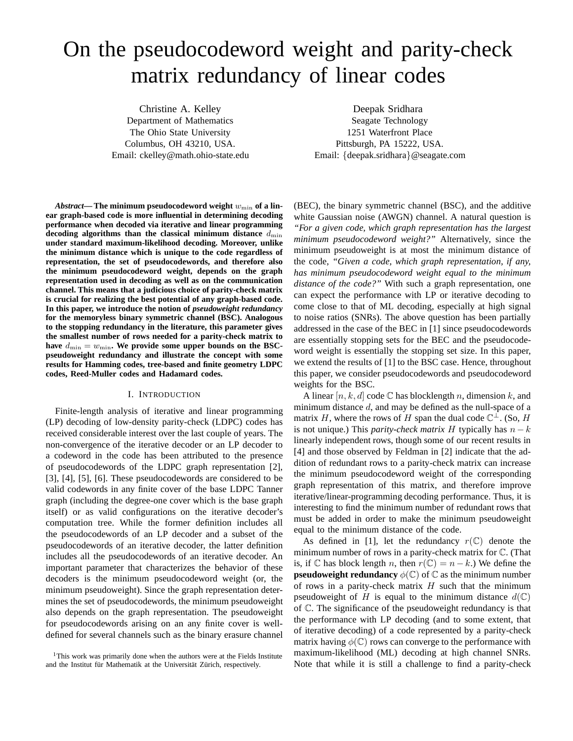# On the pseudocodeword weight and parity-check matrix redundancy of linear codes

Christine A. Kelley Department of Mathematics The Ohio State University Columbus, OH 43210, USA. Email: ckelley@math.ohio-state.edu

Deepak Sridhara Seagate Technology 1251 Waterfront Place Pittsburgh, PA 15222, USA. Email: {deepak.sridhara}@seagate.com

Abstract—The minimum pseudocodeword weight  $w_{\min}$  of a lin**ear graph-based code is more influential in determining decoding performance when decoded via iterative and linear programming** decoding algorithms than the classical minimum distance  $d_{\min}$ **under standard maximum-likelihood decoding. Moreover, unlike the minimum distance which is unique to the code regardless of representation, the set of pseudocodewords, and therefore also the minimum pseudocodeword weight, depends on the graph representation used in decoding as well as on the communication channel. This means that a judicious choice of parity-check matrix is crucial for realizing the best potential of any graph-based code. In this paper, we introduce the notion of** *pseudoweight redundancy* **for the memoryless binary symmetric channel (BSC). Analogous to the stopping redundancy in the literature, this parameter gives the smallest number of rows needed for a parity-check matrix to** have  $d_{\min} = w_{\min}$ . We provide some upper bounds on the BSC**pseudoweight redundancy and illustrate the concept with some results for Hamming codes, tree-based and finite geometry LDPC codes, Reed-Muller codes and Hadamard codes.**

# I. INTRODUCTION

Finite-length analysis of iterative and linear programming (LP) decoding of low-density parity-check (LDPC) codes has received considerable interest over the last couple of years. The non-convergence of the iterative decoder or an LP decoder to a codeword in the code has been attributed to the presence of pseudocodewords of the LDPC graph representation [2], [3], [4], [5], [6]. These pseudocodewords are considered to be valid codewords in any finite cover of the base LDPC Tanner graph (including the degree-one cover which is the base graph itself) or as valid configurations on the iterative decoder's computation tree. While the former definition includes all the pseudocodewords of an LP decoder and a subset of the pseudocodewords of an iterative decoder, the latter definition includes all the pseudocodewords of an iterative decoder. An important parameter that characterizes the behavior of these decoders is the minimum pseudocodeword weight (or, the minimum pseudoweight). Since the graph representation determines the set of pseudocodewords, the minimum pseudoweight also depends on the graph representation. The pseudoweight for pseudocodewords arising on an any finite cover is welldefined for several channels such as the binary erasure channel

(BEC), the binary symmetric channel (BSC), and the additive white Gaussian noise (AWGN) channel. A natural question is *"For a given code, which graph representation has the largest minimum pseudocodeword weight?"* Alternatively, since the minimum pseudoweight is at most the minimum distance of the code, *"Given a code, which graph representation, if any, has minimum pseudocodeword weight equal to the minimum distance of the code?"* With such a graph representation, one can expect the performance with LP or iterative decoding to come close to that of ML decoding, especially at high signal to noise ratios (SNRs). The above question has been partially addressed in the case of the BEC in [1] since pseudocodewords are essentially stopping sets for the BEC and the pseudocodeword weight is essentially the stopping set size. In this paper, we extend the results of [1] to the BSC case. Hence, throughout this paper, we consider pseudocodewords and pseudocodeword weights for the BSC.

A linear  $[n, k, d]$  code  $\mathbb C$  has blocklength n, dimension k, and minimum distance  $d$ , and may be defined as the null-space of a matrix H, where the rows of H span the dual code  $\mathbb{C}^{\perp}$ . (So, H is not unique.) This *parity-check matrix* H typically has  $n - k$ linearly independent rows, though some of our recent results in [4] and those observed by Feldman in [2] indicate that the addition of redundant rows to a parity-check matrix can increase the minimum pseudocodeword weight of the corresponding graph representation of this matrix, and therefore improve iterative/linear-programming decoding performance. Thus, it is interesting to find the minimum number of redundant rows that must be added in order to make the minimum pseudoweight equal to the minimum distance of the code.

As defined in [1], let the redundancy  $r(\mathbb{C})$  denote the minimum number of rows in a parity-check matrix for C. (That is, if  $\mathbb C$  has block length n, then  $r(\mathbb C) = n - k$ .) We define the **pseudoweight redundancy**  $\phi(\mathbb{C})$  of  $\mathbb{C}$  as the minimum number of rows in a parity-check matrix  $H$  such that the minimum pseudoweight of H is equal to the minimum distance  $d(\mathbb{C})$ of C. The significance of the pseudoweight redundancy is that the performance with LP decoding (and to some extent, that of iterative decoding) of a code represented by a parity-check matrix having  $\phi(\mathbb{C})$  rows can converge to the performance with maximum-likelihood (ML) decoding at high channel SNRs. Note that while it is still a challenge to find a parity-check

<sup>&</sup>lt;sup>1</sup>This work was primarily done when the authors were at the Fields Institute and the Institut für Mathematik at the Universität Zürich, respectively.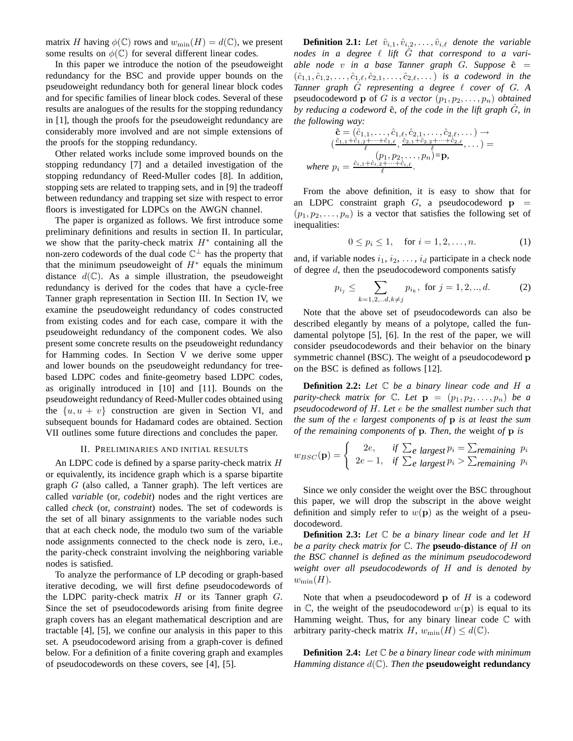matrix H having  $\phi(\mathbb{C})$  rows and  $w_{\min}(H) = d(\mathbb{C})$ , we present some results on  $\phi(\mathbb{C})$  for several different linear codes.

In this paper we introduce the notion of the pseudoweight redundancy for the BSC and provide upper bounds on the pseudoweight redundancy both for general linear block codes and for specific families of linear block codes. Several of these results are analogues of the results for the stopping redundancy in [1], though the proofs for the pseudoweight redundancy are considerably more involved and are not simple extensions of the proofs for the stopping redundancy.

Other related works include some improved bounds on the stopping redundancy [7] and a detailed investigation of the stopping redundancy of Reed-Muller codes [8]. In addition, stopping sets are related to trapping sets, and in [9] the tradeoff between redundancy and trapping set size with respect to error floors is investigated for LDPCs on the AWGN channel.

The paper is organized as follows. We first introduce some preliminary definitions and results in section II. In particular, we show that the parity-check matrix  $H^*$  containing all the non-zero codewords of the dual code  $\mathbb{C}^{\perp}$  has the property that that the minimum pseudoweight of  $H^*$  equals the minimum distance  $d(\mathbb{C})$ . As a simple illustration, the pseudoweight redundancy is derived for the codes that have a cycle-free Tanner graph representation in Section III. In Section IV, we examine the pseudoweight redundancy of codes constructed from existing codes and for each case, compare it with the pseudoweight redundancy of the component codes. We also present some concrete results on the pseudoweight redundancy for Hamming codes. In Section V we derive some upper and lower bounds on the pseudoweight redundancy for treebased LDPC codes and finite-geometry based LDPC codes, as originally introduced in [10] and [11]. Bounds on the pseudoweight redundancy of Reed-Muller codes obtained using the  $\{u, u + v\}$  construction are given in Section VI, and subsequent bounds for Hadamard codes are obtained. Section VII outlines some future directions and concludes the paper.

# II. PRELIMINARIES AND INITIAL RESULTS

An LDPC code is defined by a sparse parity-check matrix H or equivalently, its incidence graph which is a sparse bipartite graph  $G$  (also called, a Tanner graph). The left vertices are called *variable* (or, *codebit*) nodes and the right vertices are called *check* (or, *constraint*) nodes. The set of codewords is the set of all binary assignments to the variable nodes such that at each check node, the modulo two sum of the variable node assignments connected to the check node is zero, i.e., the parity-check constraint involving the neighboring variable nodes is satisfied.

To analyze the performance of LP decoding or graph-based iterative decoding, we will first define pseudocodewords of the LDPC parity-check matrix  $H$  or its Tanner graph  $G$ . Since the set of pseudocodewords arising from finite degree graph covers has an elegant mathematical description and are tractable [4], [5], we confine our analysis in this paper to this set. A pseudocodeword arising from a graph-cover is defined below. For a definition of a finite covering graph and examples of pseudocodewords on these covers, see [4], [5].

**Definition 2.1:** Let  $\hat{v}_{i,1}, \hat{v}_{i,2}, \ldots, \hat{v}_{i,\ell}$  denote the variable *nodes in a degree* ℓ *lift* Gˆ *that correspond to a variable node* v in a base Tanner graph G. Suppose  $\hat{c}$  =  $(\hat{c}_{1,1}, \hat{c}_{1,2}, \ldots, \hat{c}_{1,\ell}, \hat{c}_{2,1}, \ldots, \hat{c}_{2,\ell}, \ldots)$  *is a codeword in the Tanner graph* Gˆ *representing a degree* ℓ *cover of* G*. A* pseudocodeword **p** of G is a vector  $(p_1, p_2, \ldots, p_n)$  *obtained by reducing a codeword*  $\hat{\mathbf{c}}$ *, of the code in the lift graph*  $\hat{G}$ *, in the following way:*

$$
\hat{\mathbf{c}} = (\hat{c}_{1,1}, \dots, \hat{c}_{1,\ell}, \hat{c}_{2,1}, \dots, \hat{c}_{2,\ell}, \dots) \rightarrow
$$
  
\n
$$
(\frac{\hat{c}_{1,1} + \hat{c}_{1,2} + \dots + \hat{c}_{1,\ell}}{\ell}, \frac{\hat{c}_{2,1} + \hat{c}_{2,2} + \dots + \hat{c}_{2,\ell}}{\ell}, \dots) =
$$
  
\nwhere  $p_i = \frac{\hat{c}_{i,1} + \hat{c}_{i,2} + \dots + \hat{c}_{i,\ell}}{\ell}.$ 

From the above definition, it is easy to show that for an LDPC constraint graph  $G$ , a pseudocodeword  $p =$  $(p_1, p_2, \ldots, p_n)$  is a vector that satisfies the following set of inequalities:

$$
0 \le p_i \le 1, \quad \text{for } i = 1, 2, \dots, n. \tag{1}
$$

and, if variable nodes  $i_1, i_2, \ldots, i_d$  participate in a check node of degree  $d$ , then the pseudocodeword components satisfy

$$
p_{i_j} \le \sum_{k=1,2,..d,k \ne j} p_{i_k}, \text{ for } j = 1,2,..,d. \tag{2}
$$

Note that the above set of pseudocodewords can also be described elegantly by means of a polytope, called the fundamental polytope [5], [6]. In the rest of the paper, we will consider pseudocodewords and their behavior on the binary symmetric channel (BSC). The weight of a pseudocodeword **p** on the BSC is defined as follows [12].

**Definition 2.2:** *Let* C *be a binary linear code and* H *a parity-check matrix for*  $\mathbb{C}$ *. Let*  $\mathbf{p} = (p_1, p_2, \ldots, p_n)$  *be a pseudocodeword of* H*. Let* e *be the smallest number such that the sum of the* e *largest components of* p *is at least the sum of the remaining components of* p*. Then, the* weight *of* p *is*

$$
w_{BSC}(\mathbf{p}) = \begin{cases} 2e, & \text{if } \sum_{e} \text{ largest } p_i = \sum_{remaining} p_i \\ 2e - 1, & \text{if } \sum_{e} \text{ largest } p_i > \sum_{remaining} p_i \end{cases}
$$

Since we only consider the weight over the BSC throughout this paper, we will drop the subscript in the above weight definition and simply refer to  $w(\mathbf{p})$  as the weight of a pseudocodeword.

**Definition 2.3:** *Let* C *be a binary linear code and let* H *be a parity check matrix for* C*. The* **pseudo-distance** *of* H *on the BSC channel is defined as the minimum pseudocodeword weight over all pseudocodewords of* H *and is denoted by*  $w_{\min}(H)$ .

Note that when a pseudocodeword  $p$  of  $H$  is a codeword in  $\mathbb C$ , the weight of the pseudocodeword  $w(\mathbf p)$  is equal to its Hamming weight. Thus, for any binary linear code  $\mathbb C$  with arbitrary parity-check matrix H,  $w_{\min}(H) \leq d(\mathbb{C})$ .

**Definition 2.4:** *Let* C *be a binary linear code with minimum Hamming distance* d(C)*. Then the* **pseudoweight redundancy**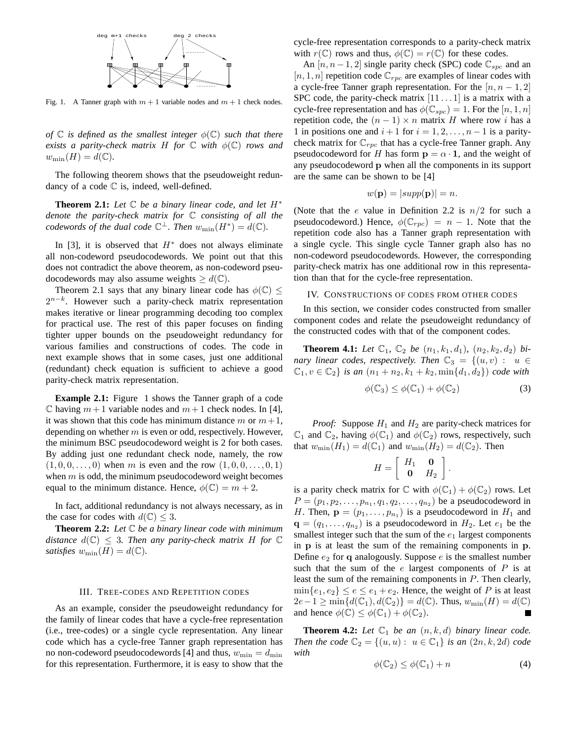

Fig. 1. A Tanner graph with  $m + 1$  variable nodes and  $m + 1$  check nodes.

*of*  $\mathbb C$  *is defined as the smallest integer*  $\phi(\mathbb C)$  *such that there exists a parity-check matrix* H *for*  $\mathbb C$  *with*  $\phi(\mathbb C)$  *rows and*  $w_{\min}(H) = d(\mathbb{C}).$ 

The following theorem shows that the pseudoweight redundancy of a code  $\mathbb C$  is, indeed, well-defined.

**Theorem 2.1:** *Let* C *be a binary linear code, and let* H<sup>∗</sup> *denote the parity-check matrix for* C *consisting of all the codewords of the dual code*  $\mathbb{C}^{\perp}$ *. Then*  $w_{\min}(H^*) = d(\mathbb{C})$ *.* 

In [3], it is observed that  $H^*$  does not always eliminate all non-codeword pseudocodewords. We point out that this does not contradict the above theorem, as non-codeword pseudocodewords may also assume weights  $\geq d(\mathbb{C})$ .

Theorem 2.1 says that any binary linear code has  $\phi(\mathbb{C})$  <  $2^{n-k}$ . However such a parity-check matrix representation makes iterative or linear programming decoding too complex for practical use. The rest of this paper focuses on finding tighter upper bounds on the pseudoweight redundancy for various families and constructions of codes. The code in next example shows that in some cases, just one additional (redundant) check equation is sufficient to achieve a good parity-check matrix representation.

**Example 2.1:** Figure 1 shows the Tanner graph of a code  $\mathbb C$  having  $m+1$  variable nodes and  $m+1$  check nodes. In [4], it was shown that this code has minimum distance m or  $m+1$ , depending on whether  $m$  is even or odd, respectively. However, the minimum BSC pseudocodeword weight is 2 for both cases. By adding just one redundant check node, namely, the row  $(1, 0, 0, \ldots, 0)$  when m is even and the row  $(1, 0, 0, \ldots, 0, 1)$ when  $m$  is odd, the minimum pseudocodeword weight becomes equal to the minimum distance. Hence,  $\phi(\mathbb{C}) = m + 2$ .

In fact, additional redundancy is not always necessary, as in the case for codes with  $d(\mathbb{C}) \leq 3$ .

**Theorem 2.2:** *Let* C *be a binary linear code with minimum distance*  $d(\mathbb{C}) \leq 3$ . Then any parity-check matrix H for  $\mathbb{C}$ *satisfies*  $w_{\min}(H) = d(\mathbb{C})$ .

#### III. TREE-CODES AND REPETITION CODES

As an example, consider the pseudoweight redundancy for the family of linear codes that have a cycle-free representation (i.e., tree-codes) or a single cycle representation. Any linear code which has a cycle-free Tanner graph representation has no non-codeword pseudocodewords [4] and thus,  $w_{\min} = d_{\min}$ for this representation. Furthermore, it is easy to show that the

cycle-free representation corresponds to a parity-check matrix with  $r(\mathbb{C})$  rows and thus,  $\phi(\mathbb{C}) = r(\mathbb{C})$  for these codes.

An  $[n, n-1, 2]$  single parity check (SPC) code  $\mathbb{C}_{\text{spec}}$  and an  $[n, 1, n]$  repetition code  $\mathbb{C}_{rpc}$  are examples of linear codes with a cycle-free Tanner graph representation. For the  $[n, n-1, 2]$ SPC code, the parity-check matrix  $[11 \dots 1]$  is a matrix with a cycle-free representation and has  $\phi(\mathbb{C}_{spc}) = 1$ . For the  $[n, 1, n]$ repetition code, the  $(n - 1) \times n$  matrix H where row i has a 1 in positions one and  $i + 1$  for  $i = 1, 2, \ldots, n - 1$  is a paritycheck matrix for  $\mathbb{C}_{rpc}$  that has a cycle-free Tanner graph. Any pseudocodeword for H has form  $\mathbf{p} = \alpha \cdot \mathbf{1}$ , and the weight of any pseudocodeword p when all the components in its support are the same can be shown to be [4]

$$
w(\mathbf{p}) = |supp(\mathbf{p})| = n.
$$

(Note that the e value in Definition 2.2 is  $n/2$  for such a pseudocodeword.) Hence,  $\phi(\mathbb{C}_{rpc}) = n - 1$ . Note that the repetition code also has a Tanner graph representation with a single cycle. This single cycle Tanner graph also has no non-codeword pseudocodewords. However, the corresponding parity-check matrix has one additional row in this representation than that for the cycle-free representation.

# IV. CONSTRUCTIONS OF CODES FROM OTHER CODES

In this section, we consider codes constructed from smaller component codes and relate the pseudoweight redundancy of the constructed codes with that of the component codes.

**Theorem 4.1:** Let  $\mathbb{C}_1$ ,  $\mathbb{C}_2$  be  $(n_1, k_1, d_1)$ ,  $(n_2, k_2, d_2)$  bi*nary linear codes, respectively. Then*  $\mathbb{C}_3 = \{(u, v) : u \in$  $\mathbb{C}_1, v \in \mathbb{C}_2$  *is an*  $(n_1 + n_2, k_1 + k_2, \min\{d_1, d_2\})$  *code with* 

$$
\phi(\mathbb{C}_3) \le \phi(\mathbb{C}_1) + \phi(\mathbb{C}_2)
$$
\n(3)

*Proof:* Suppose  $H_1$  and  $H_2$  are parity-check matrices for  $\mathbb{C}_1$  and  $\mathbb{C}_2$ , having  $\phi(\mathbb{C}_1)$  and  $\phi(\mathbb{C}_2)$  rows, respectively, such that  $w_{\min}(H_1) = d(\mathbb{C}_1)$  and  $w_{\min}(H_2) = d(\mathbb{C}_2)$ . Then

$$
H = \left[ \begin{array}{cc} H_1 & \mathbf{0} \\ \mathbf{0} & H_2 \end{array} \right].
$$

is a parity check matrix for  $\mathbb C$  with  $\phi(\mathbb C_1) + \phi(\mathbb C_2)$  rows. Let  $P = (p_1, p_2, \dots, p_{n_1}, q_1, q_2, \dots, q_{n_2})$  be a pseudocodeword in H. Then,  $\mathbf{p} = (p_1, \dots, p_{n_1})$  is a pseudocodeword in  $H_1$  and  $\mathbf{q} = (q_1, \dots, q_{n_2})$  is a pseudocodeword in  $H_2$ . Let  $e_1$  be the smallest integer such that the sum of the  $e_1$  largest components in p is at least the sum of the remaining components in p. Define  $e_2$  for q analogously. Suppose e is the smallest number such that the sum of the  $e$  largest components of  $P$  is at least the sum of the remaining components in P. Then clearly,  $\min\{e_1, e_2\} \le e \le e_1 + e_2$ . Hence, the weight of P is at least  $2e-1 \ge \min\{d(\mathbb{C}_1), d(\mathbb{C}_2)\} = d(\mathbb{C})$ . Thus,  $w_{\min}(H) = d(\mathbb{C})$ and hence  $\phi(\mathbb{C}) \leq \phi(\mathbb{C}_1) + \phi(\mathbb{C}_2)$ .  $\blacksquare$ 

**Theorem 4.2:** Let  $\mathbb{C}_1$  be an  $(n, k, d)$  binary linear code. *Then the code*  $\mathbb{C}_2 = \{(u, u) : u \in \mathbb{C}_1\}$  *is an*  $(2n, k, 2d)$  *code with*

$$
\phi(\mathbb{C}_2) \le \phi(\mathbb{C}_1) + n \tag{4}
$$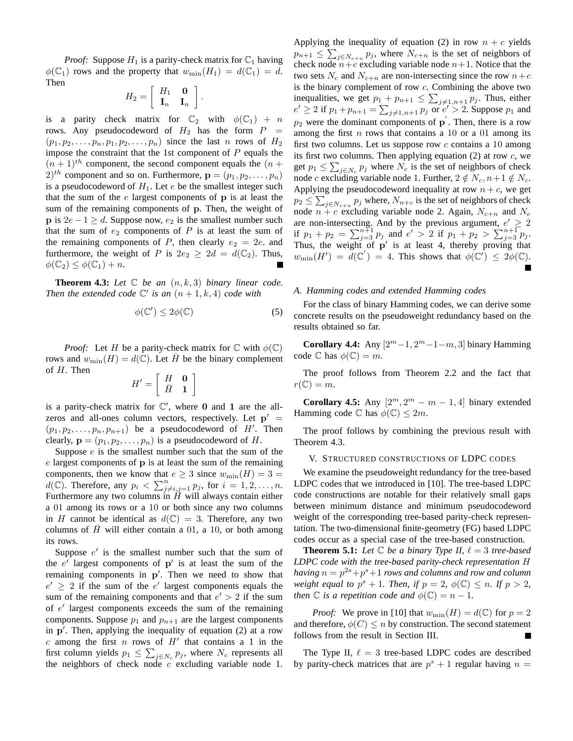*Proof:* Suppose  $H_1$  is a parity-check matrix for  $\mathbb{C}_1$  having  $\phi(\mathbb{C}_1)$  rows and the property that  $w_{\min}(H_1) = d(\mathbb{C}_1) = d$ . Then

$$
H_2=\left[\begin{array}{cc} H_1 & \mathbf{0} \\ \mathbf{I}_n & \mathbf{I}_n \end{array}\right].
$$

is a parity check matrix for  $\mathbb{C}_2$  with  $\phi(\mathbb{C}_1) + n$ rows. Any pseudocodeword of  $H_2$  has the form  $P =$  $(p_1, p_2, \ldots, p_n, p_1, p_2, \ldots, p_n)$  since the last n rows of  $H_2$ impose the constraint that the 1st component of  $P$  equals the  $(n + 1)<sup>th</sup>$  component, the second component equals the  $(n + 1)<sup>th</sup>$  $(2)^{th}$  component and so on. Furthermore,  $\mathbf{p} = (p_1, p_2, \dots, p_n)$ is a pseudocodeword of  $H_1$ . Let  $e$  be the smallest integer such that the sum of the  $e$  largest components of  $p$  is at least the sum of the remaining components of p. Then, the weight of **p** is  $2e - 1 \ge d$ . Suppose now,  $e_2$  is the smallest number such that the sum of  $e_2$  components of  $P$  is at least the sum of the remaining components of P, then clearly  $e_2 = 2e$ . and furthermore, the weight of P is  $2e_2 \geq 2d = d(\mathbb{C}_2)$ . Thus,  $\phi(\mathbb{C}_2) \leq \phi(\mathbb{C}_1) + n.$ 

**Theorem 4.3:** Let  $\mathbb C$  be an  $(n, k, 3)$  binary linear code. *Then the extended code*  $\mathbb{C}'$  *is an*  $(n+1, k, 4)$  *code with* 

$$
\phi(\mathbb{C}') \le 2\phi(\mathbb{C})\tag{5}
$$

*Proof:* Let H be a parity-check matrix for  $\mathbb C$  with  $\phi(\mathbb C)$ rows and  $w_{\min}(H) = d(\mathbb{C})$ . Let H be the binary complement of H. Then

$$
H' = \left[ \begin{array}{cc} H & \mathbf{0} \\ \bar{H} & \mathbf{1} \end{array} \right]
$$

is a parity-check matrix for  $\mathbb{C}'$ , where 0 and 1 are the allzeros and all-ones column vectors, respectively. Let  $p' =$  $(p_1, p_2, \ldots, p_n, p_{n+1})$  be a pseudocodeword of H'. Then clearly,  $\mathbf{p} = (p_1, p_2, \dots, p_n)$  is a pseudocodeword of H.

Suppose  $e$  is the smallest number such that the sum of the  $e$  largest components of  $\bf{p}$  is at least the sum of the remaining components, then we know that  $e \geq 3$  since  $w_{\min}(H) = 3$  $d(\mathbb{C})$ . Therefore, any  $p_i < \sum_{j \neq i,j=1}^n p_j$ , for  $i = 1, 2, \ldots, n$ . Furthermore any two columns in  $\tilde{H}$  will always contain either a 01 among its rows or a 10 or both since any two columns in H cannot be identical as  $d(\mathbb{C}) = 3$ . Therefore, any two columns of  $H$  will either contain a 01, a 10, or both among its rows.

Suppose  $e'$  is the smallest number such that the sum of the  $e'$  largest components of  $p'$  is at least the sum of the remaining components in p'. Then we need to show that  $e' \geq 2$  if the sum of the  $e'$  largest components equals the sum of the remaining components and that  $e' > 2$  if the sum of e ′ largest components exceeds the sum of the remaining components. Suppose  $p_1$  and  $p_{n+1}$  are the largest components in p ′ . Then, applying the inequality of equation (2) at a row  $c$  among the first  $n$  rows of  $H'$  that contains a 1 in the first column yields  $p_1 \leq \sum_{j \in N_c} p_j$ , where  $N_c$  represents all the neighbors of check node  $c$  excluding variable node 1.

Applying the inequality of equation (2) in row  $n + c$  yields  $p_{n+1} \leq \sum_{j \in N_{c+n}} p_j$ , where  $N_{c+n}$  is the set of neighbors of check node  $n+c$  excluding variable node  $n+1$ . Notice that the two sets  $N_c$  and  $N_{c+n}$  are non-intersecting since the row  $n+c$ is the binary complement of row c. Combining the above two inequalities, we get  $p_1 + p_{n+1} \le \sum_{j \neq 1, n+1} p_j$ . Thus, either  $e' \ge 2$  if  $p_1 + p_{n+1} = \sum_{j \ne 1, n+1} p_j$  or  $e' > 2$ . Suppose  $p_1$  and  $p_2$  were the dominant components of  $\bf{p}$ . Then, there is a row among the first  $n$  rows that contains a 10 or a 01 among its first two columns. Let us suppose row  $c$  contains a 10 among its first two columns. Then applying equation  $(2)$  at row  $c$ , we get  $p_1 \le \sum_{j \in N_c} p_j$  where  $N_c$  is the set of neighbors of check node c excluding variable node 1. Further,  $2 \notin N_c$ ,  $n+1 \notin N_c$ . Applying the pseudocodeword inequality at row  $n + c$ , we get  $p_2 \leq \sum_{j \in N_{c+n}} p_j$  where,  $N_{n+c}$  is the set of neighbors of check node  $n + c$  excluding variable node 2. Again,  $N_{c+n}$  and  $N_c$ are non-intersecting. And by the previous argument,  $e' \geq 2$ if  $p_1 + p_2 = \sum_{j=3}^{n+1} p_j$  and  $e' > 2$  if  $p_1 + p_2 > \sum_{j=3}^{n+1} p_j$ . Thus, the weight of  $p'$  is at least 4, thereby proving that  $w_{\min}(H') = d(\mathbb{C}') = 4$ . This shows that  $\phi(\mathbb{C}') \leq 2\phi(\mathbb{C})$ .

#### *A. Hamming codes and extended Hamming codes*

For the class of binary Hamming codes, we can derive some concrete results on the pseudoweight redundancy based on the results obtained so far.

**Corollary 4.4:** Any  $[2^m - 1, 2^m - 1 - m, 3]$  binary Hamming code  $\mathbb C$  has  $\phi(\mathbb C) = m$ .

The proof follows from Theorem 2.2 and the fact that  $r(\mathbb{C}) = m$ .

**Corollary 4.5:** Any  $[2^m, 2^m - m - 1, 4]$  binary extended Hamming code  $\mathbb C$  has  $\phi(\mathbb C) \leq 2m$ .

The proof follows by combining the previous result with Theorem 4.3.

#### V. STRUCTURED CONSTRUCTIONS OF LDPC CODES

We examine the pseudoweight redundancy for the tree-based LDPC codes that we introduced in [10]. The tree-based LDPC code constructions are notable for their relatively small gaps between minimum distance and minimum pseudocodeword weight of the corresponding tree-based parity-check representation. The two-dimensional finite-geometry (FG) based LDPC codes occur as a special case of the tree-based construction.

**Theorem 5.1:** Let  $\mathbb C$  be a binary Type II,  $\ell = 3$  tree-based *LDPC code with the tree-based parity-check representation* H *having*  $n = p^{2s} + p^s + 1$  *rows and columns and row and column weight equal to*  $p^{s} + 1$ *. Then, if*  $p = 2$ *,*  $\phi(\mathbb{C}) \leq n$ *. If*  $p > 2$ *, then*  $\mathbb C$  *is a repetition code and*  $\phi(\mathbb C) = n - 1$ *.* 

*Proof:* We prove in [10] that  $w_{\text{min}}(H) = d(\mathbb{C})$  for  $p = 2$ and therefore,  $\phi(C) \leq n$  by construction. The second statement follows from the result in Section III.

The Type II,  $\ell = 3$  tree-based LDPC codes are described by parity-check matrices that are  $p^{s} + 1$  regular having  $n =$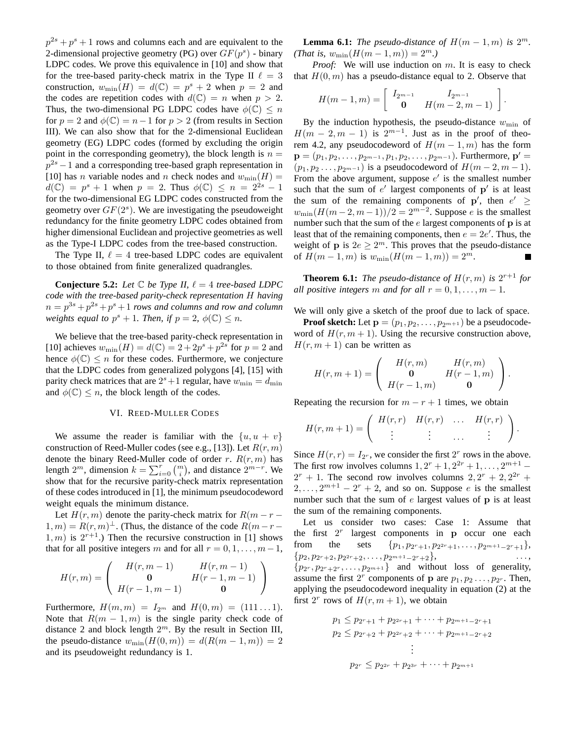$p^{2s} + p^s + 1$  rows and columns each and are equivalent to the 2-dimensional projective geometry (PG) over  $GF(p^s)$  - binary LDPC codes. We prove this equivalence in [10] and show that for the tree-based parity-check matrix in the Type II  $\ell = 3$ construction,  $w_{\min}(H) = d(\mathbb{C}) = p^s + 2$  when  $p = 2$  and the codes are repetition codes with  $d(\mathbb{C}) = n$  when  $p > 2$ . Thus, the two-dimensional PG LDPC codes have  $\phi(\mathbb{C}) \leq n$ for  $p = 2$  and  $\phi(\mathbb{C}) = n - 1$  for  $p > 2$  (from results in Section III). We can also show that for the 2-dimensional Euclidean geometry (EG) LDPC codes (formed by excluding the origin point in the corresponding geometry), the block length is  $n =$  $p^{2s} - 1$  and a corresponding tree-based graph representation in [10] has *n* variable nodes and *n* check nodes and  $w_{\text{min}}(H) =$  $d(\mathbb{C}) = p^s + 1$  when  $p = 2$ . Thus  $\phi(\mathbb{C}) \le n = 2^{2s} - 1$ for the two-dimensional EG LDPC codes constructed from the geometry over  $GF(2<sup>s</sup>)$ . We are investigating the pseudoweight redundancy for the finite geometry LDPC codes obtained from higher dimensional Euclidean and projective geometries as well as the Type-I LDPC codes from the tree-based construction.

The Type II,  $\ell = 4$  tree-based LDPC codes are equivalent to those obtained from finite generalized quadrangles.

**Conjecture 5.2:** *Let*  $\mathbb C$  *be Type II,*  $\ell = 4$  *tree-based LDPC code with the tree-based parity-check representation* H *having*  $n = p^{3s} + p^{2s} + p^s + 1$  rows and columns and row and column *weights equal to*  $p^{s} + 1$ *. Then, if*  $p = 2$ *,*  $\phi(\mathbb{C}) \leq n$ *.* 

We believe that the tree-based parity-check representation in [10] achieves  $w_{\min}(H) = d(\mathbb{C}) = 2 + 2p^{s} + p^{2s}$  for  $p = 2$  and hence  $\phi(\mathbb{C}) \leq n$  for these codes. Furthermore, we conjecture that the LDPC codes from generalized polygons [4], [15] with parity check matrices that are  $2^{s}+1$  regular, have  $w_{\min} = d_{\min}$ and  $\phi(\mathbb{C}) \leq n$ , the block length of the codes.

## VI. REED-MULLER CODES

We assume the reader is familiar with the  $\{u, u + v\}$ construction of Reed-Muller codes (see e.g., [13]). Let  $R(r, m)$ denote the binary Reed-Muller code of order r.  $R(r, m)$  has length  $2^m$ , dimension  $k = \sum_{i=0}^r \binom{m}{i}$ , and distance  $2^{m-r}$ . We show that for the recursive parity-check matrix representation of these codes introduced in [1], the minimum pseudocodeword weight equals the minimum distance.

Let  $H(r, m)$  denote the parity-check matrix for  $R(m - r - )$  $1, m$ ) =  $R(r, m)$ <sup> $\perp$ </sup>. (Thus, the distance of the code  $R(m - r - )$  $(1, m)$  is  $2^{r+1}$ .) Then the recursive construction in [1] shows that for all positive integers m and for all  $r = 0, 1, \ldots, m-1$ ,

$$
H(r, m) = \begin{pmatrix} H(r, m-1) & H(r, m-1) \\ 0 & H(r-1, m-1) \\ H(r-1, m-1) & 0 \end{pmatrix}
$$

Furthermore,  $H(m, m) = I_{2^m}$  and  $H(0, m) = (111...1)$ . Note that  $R(m-1,m)$  is the single parity check code of distance 2 and block length  $2^m$ . By the result in Section III, the pseudo-distance  $w_{\min}(H(0,m)) = d(R(m-1,m)) = 2$ and its pseudoweight redundancy is 1.

**Lemma 6.1:** *The pseudo-distance of*  $H(m-1,m)$  *is*  $2^m$ *. (That is,*  $w_{\min}(H(m-1,m)) = 2^m$ .)

*Proof:* We will use induction on m. It is easy to check that  $H(0, m)$  has a pseudo-distance equal to 2. Observe that

$$
H(m-1,m) = \begin{bmatrix} I_{2^{m-1}} & I_{2^{m-1}} \\ 0 & H(m-2,m-1) \end{bmatrix}.
$$

By the induction hypothesis, the pseudo-distance  $w_{\text{min}}$  of  $H(m-2, m-1)$  is  $2^{m-1}$ . Just as in the proof of theorem 4.2, any pseudocodeword of  $H(m-1,m)$  has the form  ${\bf p}=(p_1, p_2, \ldots, p_{2^{m-1}}, p_1, p_2, \ldots, p_{2^{m-1}})$ . Furthermore,  ${\bf p}'=$  $(p_1, p_2, \ldots, p_{2m-1})$  is a pseudocodeword of  $H(m-2, m-1)$ . From the above argument, suppose  $e'$  is the smallest number such that the sum of  $e'$  largest components of  $p'$  is at least the sum of the remaining components of  $p'$ , then  $e' \ge$  $w_{\min}(H(m-2, m-1))/2 = 2^{m-2}$ . Suppose *e* is the smallest number such that the sum of the  $e$  largest components of  $p$  is at least that of the remaining components, then  $e = 2e'$ . Thus, the weight of **p** is  $2e \ge 2^m$ . This proves that the pseudo-distance of  $H(m-1,m)$  is  $w_{\min}(H(m-1,m)) = 2^m$ . Ш

**Theorem 6.1:** The pseudo-distance of  $H(r, m)$  is  $2^{r+1}$  for *all positive integers* m *and for all*  $r = 0, 1, \ldots, m - 1$ .

We will only give a sketch of the proof due to lack of space.

**Proof sketch:** Let  $\mathbf{p} = (p_1, p_2, \dots, p_{2^{m+1}})$  be a pseudocodeword of  $H(r, m + 1)$ . Using the recursive construction above,  $H(r, m + 1)$  can be written as

$$
H(r,m+1) = \begin{pmatrix} H(r,m) & H(r,m) \\ \mathbf{0} & H(r-1,m) \\ H(r-1,m) & \mathbf{0} \end{pmatrix}.
$$

Repeating the recursion for  $m - r + 1$  times, we obtain

$$
H(r,m+1) = \left( \begin{array}{cccc} H(r,r) & H(r,r) & \dots & H(r,r) \\ \vdots & \vdots & \dots & \vdots \end{array} \right).
$$

Since  $H(r, r) = I_{2^r}$ , we consider the first  $2^r$  rows in the above. The first row involves columns  $1, 2^r + 1, 2^{2r} + 1, \ldots, 2^{m+1}$  –  $2^r + 1$ . The second row involves columns  $2, 2^r + 2, 2^{2r} +$  $2, \ldots, 2^{m+1} - 2^r + 2$ , and so on. Suppose e is the smallest number such that the sum of  $e$  largest values of  $p$  is at least the sum of the remaining components.

Let us consider two cases: Case 1: Assume that the first  $2^r$ largest components in p occur one each from the sets  $\{p_1, p_{2^r+1}, p_{2^{2r}+1}, \ldots, p_{2^{m+1}-2^r+1}\},$  $\{p_2, p_{2^r+2}, p_{2^{2^r}+2}, \ldots, p_{2^{m+1}-2^r+2}\},\qquad \ldots,$  $\{p_{2^r}, p_{2^r+2^r}, \ldots, p_{2^{m+1}}\}$  and without loss of generality, assume the first  $2^r$  components of p are  $p_1, p_2 \ldots, p_{2^r}$ . Then, applying the pseudocodeword inequality in equation (2) at the first  $2^r$  rows of  $H(r, m + 1)$ , we obtain

$$
p_1 \le p_{2r+1} + p_{2^{2r}+1} + \dots + p_{2^{m+1}-2r+1}
$$
  
\n
$$
p_2 \le p_{2r+2} + p_{2^{2r}+2} + \dots + p_{2^{m+1}-2r+2}
$$
  
\n
$$
\vdots
$$
  
\n
$$
p_{2r} \le p_{2^{2r}} + p_{2^{3r}} + \dots + p_{2^{m+1}}
$$